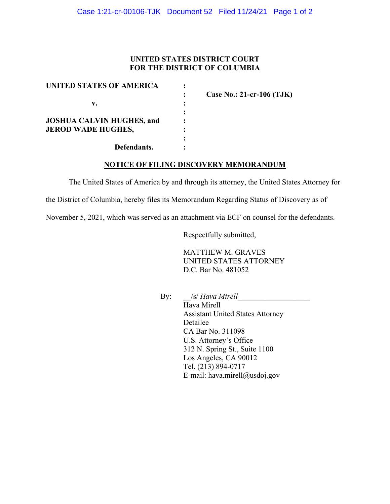## **UNITED STATES DISTRICT COURT FOR THE DISTRICT OF COLUMBIA**

| UNITED STATES OF AMERICA         |  |
|----------------------------------|--|
|                                  |  |
| v.                               |  |
|                                  |  |
| <b>JOSHUA CALVIN HUGHES, and</b> |  |
| <b>JEROD WADE HUGHES,</b>        |  |
|                                  |  |
| Defendants.                      |  |

**: Case No.: 21-cr-106 (TJK)**

### **NOTICE OF FILING DISCOVERY MEMORANDUM**

The United States of America by and through its attorney, the United States Attorney for

the District of Columbia, hereby files its Memorandum Regarding Status of Discovery as of

November 5, 2021, which was served as an attachment via ECF on counsel for the defendants.

Respectfully submitted,

MATTHEW M. GRAVES UNITED STATES ATTORNEY D.C. Bar No. 481052

By: \_\_/s/ *Hava Mirell\_\_\_\_\_\_\_\_\_\_\_\_\_\_\_\_\_\_\_*

Hava Mirell Assistant United States Attorney Detailee CA Bar No. 311098 U.S. Attorney's Office 312 N. Spring St., Suite 1100 Los Angeles, CA 90012 Tel. (213) 894-0717 E-mail: hava.mirell@usdoj.gov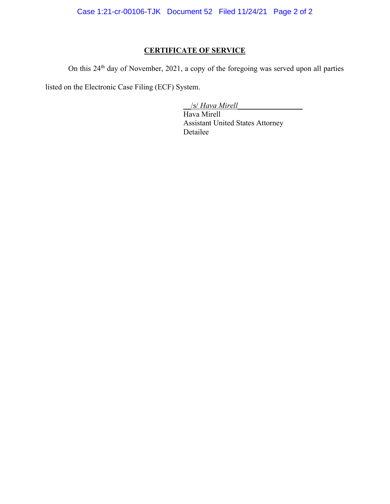Case 1:21-cr-00106-TJK Document 52 Filed 11/24/21 Page 2 of 2

# **CERTIFICATE OF SERVICE**

On this 24<sup>th</sup> day of November, 2021, a copy of the foregoing was served upon all parties

listed on the Electronic Case Filing (ECF) System.

\_\_/s/ *Hava Mirell\_\_\_\_\_\_\_\_\_\_\_\_\_\_\_\_\_*

Hava Mirell Assistant United States Attorney Detailee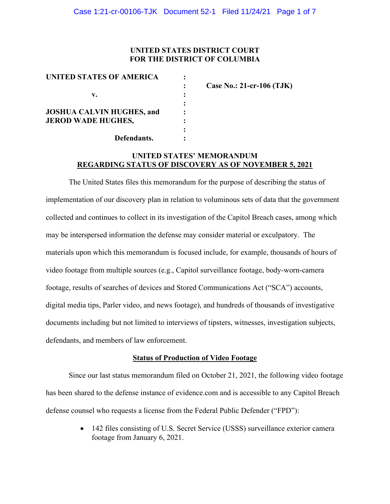### **UNITED STATES DISTRICT COURT FOR THE DISTRICT OF COLUMBIA**

| UNITED STATES OF AMERICA         |                           |
|----------------------------------|---------------------------|
|                                  | Case No.: 21-cr-106 (TJK) |
| v.                               |                           |
|                                  |                           |
| <b>JOSHUA CALVIN HUGHES, and</b> |                           |
| <b>JEROD WADE HUGHES,</b>        |                           |
|                                  |                           |
| Defendants.                      |                           |

#### **UNITED STATES' MEMORANDUM REGARDING STATUS OF DISCOVERY AS OF NOVEMBER 5, 2021**

The United States files this memorandum for the purpose of describing the status of implementation of our discovery plan in relation to voluminous sets of data that the government collected and continues to collect in its investigation of the Capitol Breach cases, among which may be interspersed information the defense may consider material or exculpatory. The materials upon which this memorandum is focused include, for example, thousands of hours of video footage from multiple sources (e.g., Capitol surveillance footage, body-worn-camera footage, results of searches of devices and Stored Communications Act ("SCA") accounts, digital media tips, Parler video, and news footage), and hundreds of thousands of investigative documents including but not limited to interviews of tipsters, witnesses, investigation subjects, defendants, and members of law enforcement.

#### **Status of Production of Video Footage**

Since our last status memorandum filed on October 21, 2021, the following video footage has been shared to the defense instance of evidence.com and is accessible to any Capitol Breach defense counsel who requests a license from the Federal Public Defender ("FPD"):

> • 142 files consisting of U.S. Secret Service (USSS) surveillance exterior camera footage from January 6, 2021.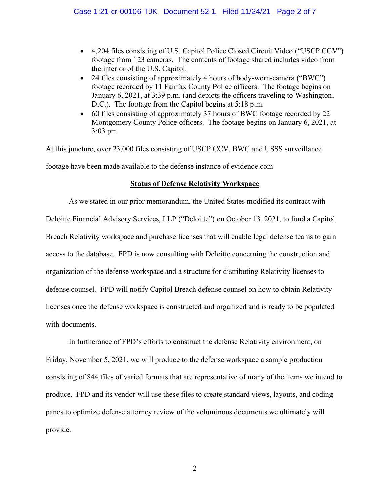- 4,204 files consisting of U.S. Capitol Police Closed Circuit Video ("USCP CCV") footage from 123 cameras. The contents of footage shared includes video from the interior of the U.S. Capitol.
- 24 files consisting of approximately 4 hours of body-worn-camera ("BWC") footage recorded by 11 Fairfax County Police officers. The footage begins on January 6, 2021, at 3:39 p.m. (and depicts the officers traveling to Washington, D.C.). The footage from the Capitol begins at 5:18 p.m.
- 60 files consisting of approximately 37 hours of BWC footage recorded by 22 Montgomery County Police officers. The footage begins on January 6, 2021, at 3:03 pm.

At this juncture, over 23,000 files consisting of USCP CCV, BWC and USSS surveillance footage have been made available to the defense instance of evidence.com

## **Status of Defense Relativity Workspace**

As we stated in our prior memorandum, the United States modified its contract with Deloitte Financial Advisory Services, LLP ("Deloitte") on October 13, 2021, to fund a Capitol Breach Relativity workspace and purchase licenses that will enable legal defense teams to gain access to the database. FPD is now consulting with Deloitte concerning the construction and organization of the defense workspace and a structure for distributing Relativity licenses to defense counsel. FPD will notify Capitol Breach defense counsel on how to obtain Relativity licenses once the defense workspace is constructed and organized and is ready to be populated with documents.

In furtherance of FPD's efforts to construct the defense Relativity environment, on Friday, November 5, 2021, we will produce to the defense workspace a sample production consisting of 844 files of varied formats that are representative of many of the items we intend to produce. FPD and its vendor will use these files to create standard views, layouts, and coding panes to optimize defense attorney review of the voluminous documents we ultimately will provide.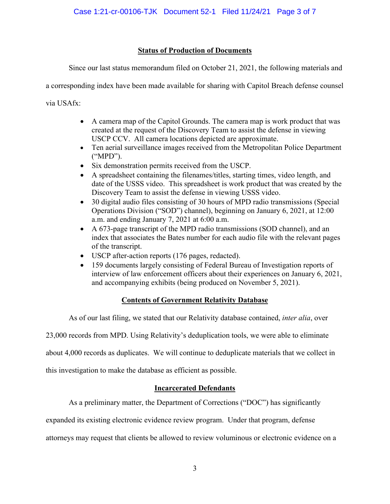# **Status of Production of Documents**

Since our last status memorandum filed on October 21, 2021, the following materials and

a corresponding index have been made available for sharing with Capitol Breach defense counsel

via USAfx:

- A camera map of the Capitol Grounds. The camera map is work product that was created at the request of the Discovery Team to assist the defense in viewing USCP CCV. All camera locations depicted are approximate.
- Ten aerial surveillance images received from the Metropolitan Police Department ("MPD").
- Six demonstration permits received from the USCP.
- A spreadsheet containing the filenames/titles, starting times, video length, and date of the USSS video. This spreadsheet is work product that was created by the Discovery Team to assist the defense in viewing USSS video.
- 30 digital audio files consisting of 30 hours of MPD radio transmissions (Special Operations Division ("SOD") channel), beginning on January 6, 2021, at 12:00 a.m. and ending January 7, 2021 at 6:00 a.m.
- A 673-page transcript of the MPD radio transmissions (SOD channel), and an index that associates the Bates number for each audio file with the relevant pages of the transcript.
- USCP after-action reports (176 pages, redacted).
- 159 documents largely consisting of Federal Bureau of Investigation reports of interview of law enforcement officers about their experiences on January 6, 2021, and accompanying exhibits (being produced on November 5, 2021).

# **Contents of Government Relativity Database**

As of our last filing, we stated that our Relativity database contained, *inter alia*, over

23,000 records from MPD. Using Relativity's deduplication tools, we were able to eliminate

about 4,000 records as duplicates. We will continue to deduplicate materials that we collect in

this investigation to make the database as efficient as possible.

# **Incarcerated Defendants**

As a preliminary matter, the Department of Corrections ("DOC") has significantly

expanded its existing electronic evidence review program. Under that program, defense

attorneys may request that clients be allowed to review voluminous or electronic evidence on a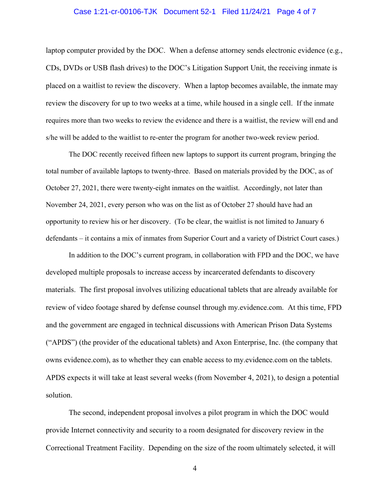#### Case 1:21-cr-00106-TJK Document 52-1 Filed 11/24/21 Page 4 of 7

laptop computer provided by the DOC. When a defense attorney sends electronic evidence (e.g., CDs, DVDs or USB flash drives) to the DOC's Litigation Support Unit, the receiving inmate is placed on a waitlist to review the discovery. When a laptop becomes available, the inmate may review the discovery for up to two weeks at a time, while housed in a single cell. If the inmate requires more than two weeks to review the evidence and there is a waitlist, the review will end and s/he will be added to the waitlist to re-enter the program for another two-week review period.

The DOC recently received fifteen new laptops to support its current program, bringing the total number of available laptops to twenty-three. Based on materials provided by the DOC, as of October 27, 2021, there were twenty-eight inmates on the waitlist. Accordingly, not later than November 24, 2021, every person who was on the list as of October 27 should have had an opportunity to review his or her discovery. (To be clear, the waitlist is not limited to January 6 defendants – it contains a mix of inmates from Superior Court and a variety of District Court cases.)

In addition to the DOC's current program, in collaboration with FPD and the DOC, we have developed multiple proposals to increase access by incarcerated defendants to discovery materials. The first proposal involves utilizing educational tablets that are already available for review of video footage shared by defense counsel through my.evidence.com. At this time, FPD and the government are engaged in technical discussions with American Prison Data Systems ("APDS") (the provider of the educational tablets) and Axon Enterprise, Inc. (the company that owns evidence.com), as to whether they can enable access to my.evidence.com on the tablets. APDS expects it will take at least several weeks (from November 4, 2021), to design a potential solution.

The second, independent proposal involves a pilot program in which the DOC would provide Internet connectivity and security to a room designated for discovery review in the Correctional Treatment Facility. Depending on the size of the room ultimately selected, it will

4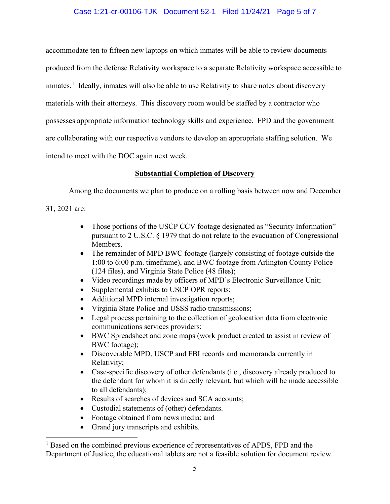## Case 1:21-cr-00106-TJK Document 52-1 Filed 11/24/21 Page 5 of 7

accommodate ten to fifteen new laptops on which inmates will be able to review documents produced from the defense Relativity workspace to a separate Relativity workspace accessible to inmates.<sup>1</sup> Ideally, inmates will also be able to use Relativity to share notes about discovery materials with their attorneys. This discovery room would be staffed by a contractor who possesses appropriate information technology skills and experience. FPD and the government are collaborating with our respective vendors to develop an appropriate staffing solution. We intend to meet with the DOC again next week.

### **Substantial Completion of Discovery**

Among the documents we plan to produce on a rolling basis between now and December

31, 2021 are:

- Those portions of the USCP CCV footage designated as "Security Information" pursuant to 2 U.S.C. § 1979 that do not relate to the evacuation of Congressional Members.
- The remainder of MPD BWC footage (largely consisting of footage outside the 1:00 to 6:00 p.m. timeframe), and BWC footage from Arlington County Police (124 files), and Virginia State Police (48 files);
- Video recordings made by officers of MPD's Electronic Surveillance Unit;
- Supplemental exhibits to USCP OPR reports;
- Additional MPD internal investigation reports;
- Virginia State Police and USSS radio transmissions;
- Legal process pertaining to the collection of geolocation data from electronic communications services providers;
- BWC Spreadsheet and zone maps (work product created to assist in review of BWC footage);
- Discoverable MPD, USCP and FBI records and memoranda currently in Relativity;
- Case-specific discovery of other defendants (i.e., discovery already produced to the defendant for whom it is directly relevant, but which will be made accessible to all defendants);
- Results of searches of devices and SCA accounts;
- Custodial statements of (other) defendants.
- Footage obtained from news media; and
- Grand jury transcripts and exhibits.

<sup>&</sup>lt;sup>1</sup> Based on the combined previous experience of representatives of APDS, FPD and the Department of Justice, the educational tablets are not a feasible solution for document review.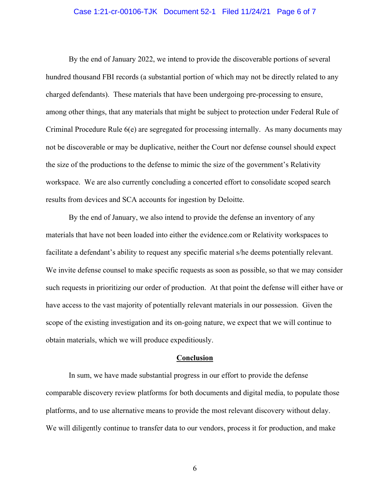#### Case 1:21-cr-00106-TJK Document 52-1 Filed 11/24/21 Page 6 of 7

By the end of January 2022, we intend to provide the discoverable portions of several hundred thousand FBI records (a substantial portion of which may not be directly related to any charged defendants). These materials that have been undergoing pre-processing to ensure, among other things, that any materials that might be subject to protection under Federal Rule of Criminal Procedure Rule 6(e) are segregated for processing internally. As many documents may not be discoverable or may be duplicative, neither the Court nor defense counsel should expect the size of the productions to the defense to mimic the size of the government's Relativity workspace. We are also currently concluding a concerted effort to consolidate scoped search results from devices and SCA accounts for ingestion by Deloitte.

By the end of January, we also intend to provide the defense an inventory of any materials that have not been loaded into either the evidence.com or Relativity workspaces to facilitate a defendant's ability to request any specific material s/he deems potentially relevant. We invite defense counsel to make specific requests as soon as possible, so that we may consider such requests in prioritizing our order of production. At that point the defense will either have or have access to the vast majority of potentially relevant materials in our possession. Given the scope of the existing investigation and its on-going nature, we expect that we will continue to obtain materials, which we will produce expeditiously.

#### **Conclusion**

In sum, we have made substantial progress in our effort to provide the defense comparable discovery review platforms for both documents and digital media, to populate those platforms, and to use alternative means to provide the most relevant discovery without delay. We will diligently continue to transfer data to our vendors, process it for production, and make

6